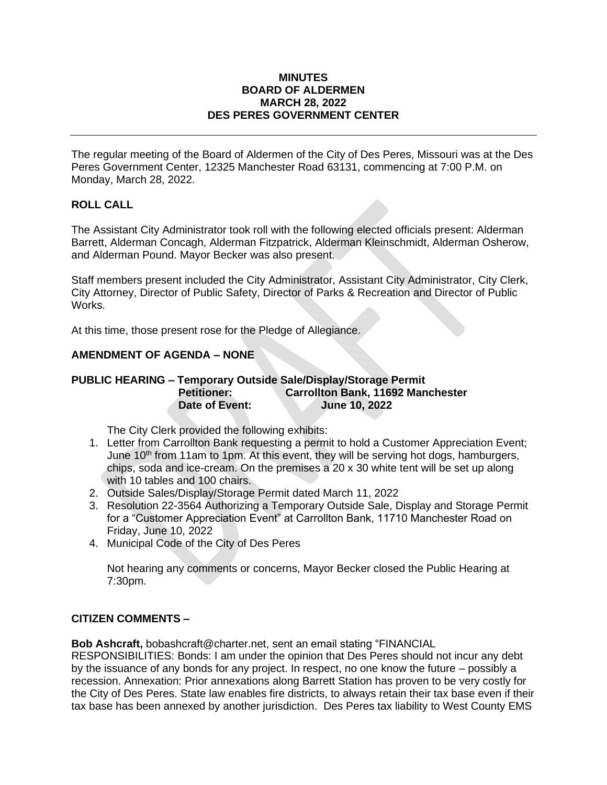#### **MINUTES BOARD OF ALDERMEN MARCH 28, 2022 DES PERES GOVERNMENT CENTER**

The regular meeting of the Board of Aldermen of the City of Des Peres, Missouri was at the Des Peres Government Center, 12325 Manchester Road 63131, commencing at 7:00 P.M. on Monday, March 28, 2022.

## **ROLL CALL**

The Assistant City Administrator took roll with the following elected officials present: Alderman Barrett, Alderman Concagh, Alderman Fitzpatrick, Alderman Kleinschmidt, Alderman Osherow, and Alderman Pound. Mayor Becker was also present.

Staff members present included the City Administrator, Assistant City Administrator, City Clerk, City Attorney, Director of Public Safety, Director of Parks & Recreation and Director of Public Works.

At this time, those present rose for the Pledge of Allegiance.

## **AMENDMENT OF AGENDA – NONE**

### **PUBLIC HEARING – Temporary Outside Sale/Display/Storage Permit Petitioner: Carrollton Bank, 11692 Manchester Date of Event: June 10, 2022**

The City Clerk provided the following exhibits:

- 1. Letter from Carrollton Bank requesting a permit to hold a Customer Appreciation Event; June 10<sup>th</sup> from 11am to 1pm. At this event, they will be serving hot dogs, hamburgers, chips, soda and ice-cream. On the premises a 20 x 30 white tent will be set up along with 10 tables and 100 chairs.
- 2. Outside Sales/Display/Storage Permit dated March 11, 2022
- 3. Resolution 22-3564 Authorizing a Temporary Outside Sale, Display and Storage Permit for a "Customer Appreciation Event" at Carrollton Bank, 11710 Manchester Road on Friday, June 10, 2022
- 4. Municipal Code of the City of Des Peres

Not hearing any comments or concerns, Mayor Becker closed the Public Hearing at 7:30pm.

## **CITIZEN COMMENTS –**

**Bob Ashcraft,** [bobashcraft@charter.net,](mailto:bobashcraft@charter.net) sent an email stating "FINANCIAL

RESPONSIBILITIES: Bonds: I am under the opinion that Des Peres should not incur any debt by the issuance of any bonds for any project. In respect, no one know the future – possibly a recession. Annexation: Prior annexations along Barrett Station has proven to be very costly for the City of Des Peres. State law enables fire districts, to always retain their tax base even if their tax base has been annexed by another jurisdiction. Des Peres tax liability to West County EMS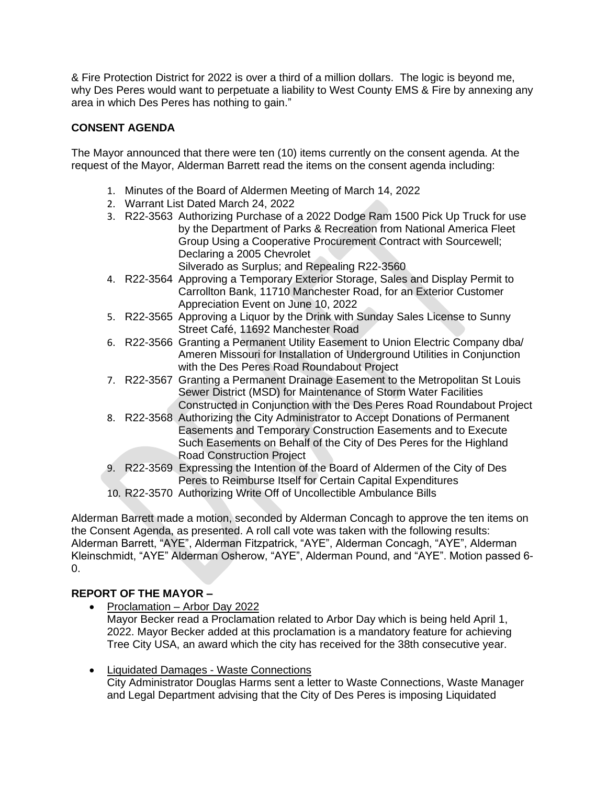& Fire Protection District for 2022 is over a third of a million dollars. The logic is beyond me, why Des Peres would want to perpetuate a liability to West County EMS & Fire by annexing any area in which Des Peres has nothing to gain."

# **CONSENT AGENDA**

The Mayor announced that there were ten (10) items currently on the consent agenda. At the request of the Mayor, Alderman Barrett read the items on the consent agenda including:

- 1. Minutes of the Board of Aldermen Meeting of March 14, 2022
- 2. Warrant List Dated March 24, 2022
- 3. R22-3563 Authorizing Purchase of a 2022 Dodge Ram 1500 Pick Up Truck for use by the Department of Parks & Recreation from National America Fleet Group Using a Cooperative Procurement Contract with Sourcewell; Declaring a 2005 Chevrolet Silverado as Surplus; and Repealing R22-3560
- 4. R22-3564 Approving a Temporary Exterior Storage, Sales and Display Permit to Carrollton Bank, 11710 Manchester Road, for an Exterior Customer Appreciation Event on June 10, 2022
- 5. R22-3565 Approving a Liquor by the Drink with Sunday Sales License to Sunny Street Café, 11692 Manchester Road
- 6. R22-3566 Granting a Permanent Utility Easement to Union Electric Company dba/ Ameren Missouri for Installation of Underground Utilities in Conjunction with the Des Peres Road Roundabout Project
- 7. R22-3567 Granting a Permanent Drainage Easement to the Metropolitan St Louis Sewer District (MSD) for Maintenance of Storm Water Facilities Constructed in Conjunction with the Des Peres Road Roundabout Project
- 8. R22-3568 Authorizing the City Administrator to Accept Donations of Permanent Easements and Temporary Construction Easements and to Execute Such Easements on Behalf of the City of Des Peres for the Highland Road Construction Project
- 9. R22-3569 Expressing the Intention of the Board of Aldermen of the City of Des Peres to Reimburse Itself for Certain Capital Expenditures
- 10. R22-3570 Authorizing Write Off of Uncollectible Ambulance Bills

Alderman Barrett made a motion, seconded by Alderman Concagh to approve the ten items on the Consent Agenda, as presented. A roll call vote was taken with the following results: Alderman Barrett, "AYE", Alderman Fitzpatrick, "AYE", Alderman Concagh, "AYE", Alderman Kleinschmidt, "AYE" Alderman Osherow, "AYE", Alderman Pound, and "AYE". Motion passed 6- 0.

# **REPORT OF THE MAYOR –**

- Proclamation Arbor Day 2022 Mayor Becker read a Proclamation related to Arbor Day which is being held April 1, 2022. Mayor Becker added at this proclamation is a mandatory feature for achieving Tree City USA, an award which the city has received for the 38th consecutive year.
- Liquidated Damages Waste Connections City Administrator Douglas Harms sent a letter to Waste Connections, Waste Manager and Legal Department advising that the City of Des Peres is imposing Liquidated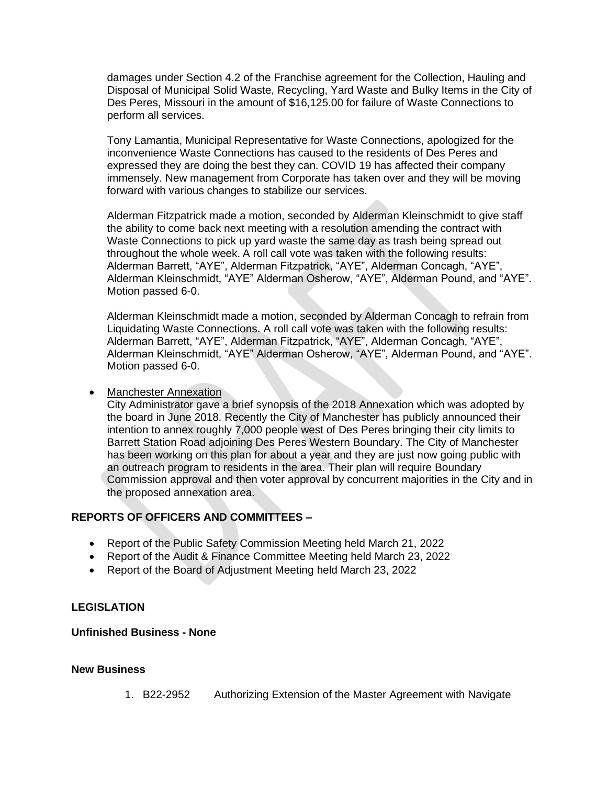damages under Section 4.2 of the Franchise agreement for the Collection, Hauling and Disposal of Municipal Solid Waste, Recycling, Yard Waste and Bulky Items in the City of Des Peres, Missouri in the amount of \$16,125.00 for failure of Waste Connections to perform all services.

Tony Lamantia, Municipal Representative for Waste Connections, apologized for the inconvenience Waste Connections has caused to the residents of Des Peres and expressed they are doing the best they can. COVID 19 has affected their company immensely. New management from Corporate has taken over and they will be moving forward with various changes to stabilize our services.

Alderman Fitzpatrick made a motion, seconded by Alderman Kleinschmidt to give staff the ability to come back next meeting with a resolution amending the contract with Waste Connections to pick up yard waste the same day as trash being spread out throughout the whole week. A roll call vote was taken with the following results: Alderman Barrett, "AYE", Alderman Fitzpatrick, "AYE", Alderman Concagh, "AYE", Alderman Kleinschmidt, "AYE" Alderman Osherow, "AYE", Alderman Pound, and "AYE". Motion passed 6-0.

Alderman Kleinschmidt made a motion, seconded by Alderman Concagh to refrain from Liquidating Waste Connections. A roll call vote was taken with the following results: Alderman Barrett, "AYE", Alderman Fitzpatrick, "AYE", Alderman Concagh, "AYE", Alderman Kleinschmidt, "AYE" Alderman Osherow, "AYE", Alderman Pound, and "AYE". Motion passed 6-0.

### • Manchester Annexation

City Administrator gave a brief synopsis of the 2018 Annexation which was adopted by the board in June 2018. Recently the City of Manchester has publicly announced their intention to annex roughly 7,000 people west of Des Peres bringing their city limits to Barrett Station Road adjoining Des Peres Western Boundary. The City of Manchester has been working on this plan for about a year and they are just now going public with an outreach program to residents in the area. Their plan will require Boundary Commission approval and then voter approval by concurrent majorities in the City and in the proposed annexation area.

## **REPORTS OF OFFICERS AND COMMITTEES –**

- Report of the Public Safety Commission Meeting held March 21, 2022
- Report of the Audit & Finance Committee Meeting held March 23, 2022
- Report of the Board of Adjustment Meeting held March 23, 2022

## **LEGISLATION**

## **Unfinished Business - None**

#### **New Business**

1. B22-2952 Authorizing Extension of the Master Agreement with Navigate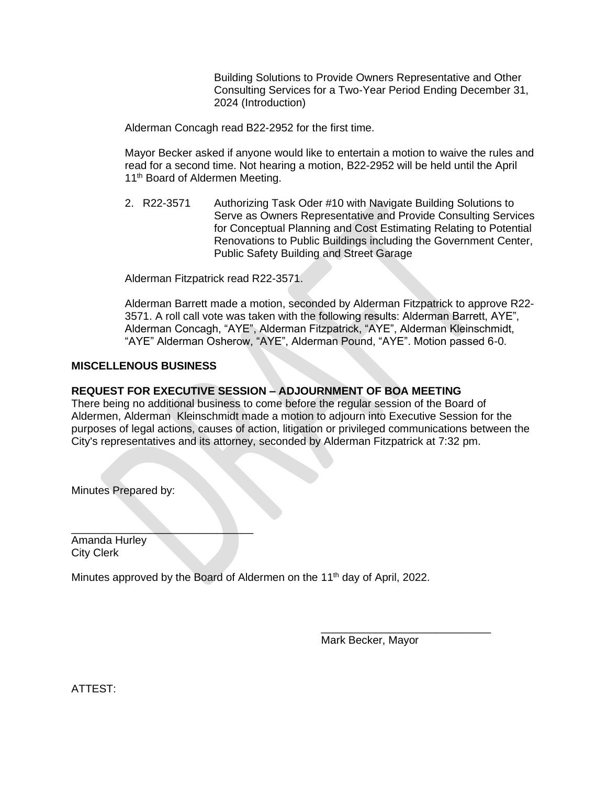Building Solutions to Provide Owners Representative and Other Consulting Services for a Two-Year Period Ending December 31, 2024 (Introduction)

Alderman Concagh read B22-2952 for the first time.

Mayor Becker asked if anyone would like to entertain a motion to waive the rules and read for a second time. Not hearing a motion, B22-2952 will be held until the April 11<sup>th</sup> Board of Aldermen Meeting.

2. R22-3571 Authorizing Task Oder #10 with Navigate Building Solutions to Serve as Owners Representative and Provide Consulting Services for Conceptual Planning and Cost Estimating Relating to Potential Renovations to Public Buildings including the Government Center, Public Safety Building and Street Garage

Alderman Fitzpatrick read R22-3571.

Alderman Barrett made a motion, seconded by Alderman Fitzpatrick to approve R22- 3571. A roll call vote was taken with the following results: Alderman Barrett, AYE", Alderman Concagh, "AYE", Alderman Fitzpatrick, "AYE", Alderman Kleinschmidt, "AYE" Alderman Osherow, "AYE", Alderman Pound, "AYE". Motion passed 6-0.

### **MISCELLENOUS BUSINESS**

### **REQUEST FOR EXECUTIVE SESSION – ADJOURNMENT OF BOA MEETING**

There being no additional business to come before the regular session of the Board of Aldermen, Alderman Kleinschmidt made a motion to adjourn into Executive Session for the purposes of legal actions, causes of action, litigation or privileged communications between the City's representatives and its attorney, seconded by Alderman Fitzpatrick at 7:32 pm.

Minutes Prepared by:

 $\overline{\phantom{a}}$  , where  $\overline{\phantom{a}}$  , where  $\overline{\phantom{a}}$  ,  $\overline{\phantom{a}}$  ,  $\overline{\phantom{a}}$  ,  $\overline{\phantom{a}}$  ,  $\overline{\phantom{a}}$  ,  $\overline{\phantom{a}}$  ,  $\overline{\phantom{a}}$  ,  $\overline{\phantom{a}}$  ,  $\overline{\phantom{a}}$  ,  $\overline{\phantom{a}}$  ,  $\overline{\phantom{a}}$  ,  $\overline{\phantom{a}}$  ,  $\overline{\phantom{a}}$  , Amanda Hurley City Clerk

Minutes approved by the Board of Aldermen on the 11<sup>th</sup> day of April, 2022.

Mark Becker, Mayor

\_\_\_\_\_\_\_\_\_\_\_\_\_\_\_\_\_\_\_\_\_\_\_\_\_\_\_\_

ATTEST: